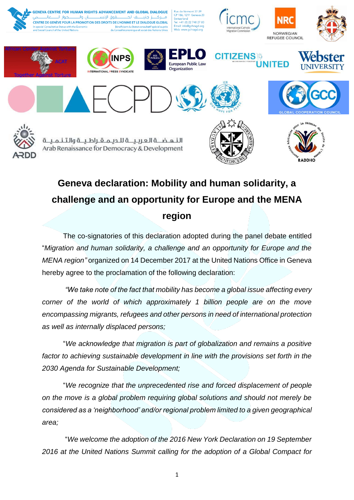

## **Geneva declaration: Mobility and human solidarity, a challenge and an opportunity for Europe and the MENA region**

The co-signatories of this declaration adopted during the panel debate entitled "*Migration and human solidarity, a challenge and an opportunity for Europe and the MENA region"* organized on 14 December 2017 at the United Nations Office in Geneva hereby agree to the proclamation of the following declaration:

*"We take note of the fact that mobility has become a global issue affecting every corner of the world of which approximately 1 billion people are on the move encompassing migrants, refugees and other persons in need of international protection as well as internally displaced persons;* 

"*We acknowledge that migration is part of globalization and remains a positive*  factor to achieving sustainable development in line with the provisions set forth in the *2030 Agenda for Sustainable Development;* 

"*We recognize that the unprecedented rise and forced displacement of people on the move is a global problem requiring global solutions and should not merely be considered as a 'neighborhood' and/or regional problem limited to a given geographical area;*

"*We welcome the adoption of the 2016 New York Declaration on 19 September 2016 at the United Nations Summit calling for the adoption of a Global Compact for*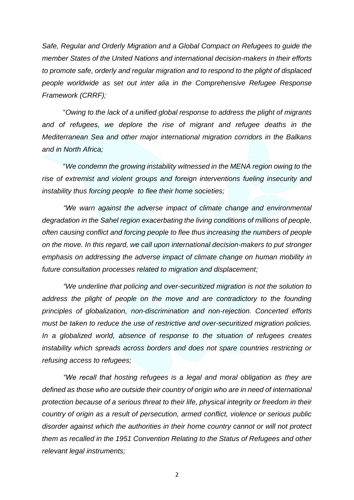*Safe, Regular and Orderly Migration and a Global Compact on Refugees to guide the member States of the United Nations and international decision-makers in their efforts to promote safe, orderly and regular migration and to respond to the plight of displaced people worldwide as set out inter alia in the Comprehensive Refugee Response Framework (CRRF);*

"*Owing to the lack of a unified global response to address the plight of migrants*  and of refugees, we deplore the rise of migrant and refugee deaths in the *Mediterranean Sea and other major international migration corridors in the Balkans and in North Africa;* 

"*We condemn the growing instability witnessed in the MENA region owing to the rise of extremist and violent groups and foreign interventions fueling insecurity and instability thus forcing people to flee their home societies;* 

*"We warn against the adverse impact of climate change and environmental degradation in the Sahel region exacerbating the living conditions of millions of people, often causing conflict and forcing people to flee thus increasing the numbers of people on the move. In this regard, we call upon international decision-makers to put stronger emphasis on addressing the adverse impact of climate change on human mobility in future consultation processes related to migration and displacement;*

*"We underline that policing and over-securitized migration is not the solution to*  address the plight of people on the move and are contradictory to the founding *principles of globalization, non-discrimination and non-rejection. Concerted efforts must be taken to reduce the use of restrictive and over-securitized migration policies. In a globalized world, absence of response to the situation of refugees creates instability which spreads across borders and does not spare countries restricting or refusing access to refugees;*

*"We recall that hosting refugees is a legal and moral obligation as they are defined as those who are outside their country of origin who are in need of international protection because of a serious threat to their life, physical integrity or freedom in their country of origin as a result of persecution, armed conflict, violence or serious public disorder against which the authorities in their home country cannot or will not protect them as recalled in the 1951 Convention Relating to the Status of Refugees and other relevant legal instruments;*

2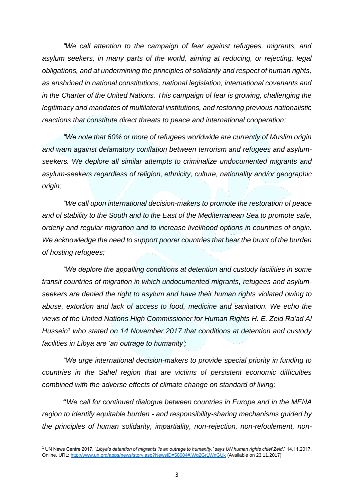*"We call attention to the campaign of fear against refugees, migrants, and asylum seekers, in many parts of the world, aiming at reducing, or rejecting, legal obligations, and at undermining the principles of solidarity and respect of human rights, as enshrined in national constitutions, national legislation, international covenants and in the Charter of the United Nations. This campaign of fear is growing, challenging the legitimacy and mandates of multilateral institutions, and restoring previous nationalistic reactions that constitute direct threats to peace and international cooperation;*

*"We note that 60% or more of refugees worldwide are currently of Muslim origin and warn against defamatory conflation between terrorism and refugees and asylumseekers. We deplore all similar attempts to criminalize undocumented migrants and asylum-seekers regardless of religion, ethnicity, culture, nationality and/or geographic origin;* 

*"We call upon international decision-makers to promote the restoration of peace and of stability to the South and to the East of the Mediterranean Sea to promote safe, orderly and regular migration and to increase livelihood options in countries of origin. We acknowledge the need to support poorer countries that bear the brunt of the burden of hosting refugees;*

*"We deplore the appalling conditions at detention and custody facilities in some transit countries of migration in which undocumented migrants, refugees and asylumseekers are denied the right to asylum and have their human rights violated owing to abuse, extortion and lack of access to food, medicine and sanitation. We echo the views of the United Nations High Commissioner for Human Rights H. E. Zeid Ra'ad Al Hussein<sup>1</sup> who stated on 14 November 2017 that conditions at detention and custody facilities in Libya are 'an outrage to humanity';*

*"We urge international decision-makers to provide special priority in funding to countries in the Sahel region that are victims of persistent economic difficulties combined with the adverse effects of climate change on standard of living;* 

**"***We call for continued dialogue between countries in Europe and in the MENA region to identify equitable burden - and responsibility-sharing mechanisms guided by the principles of human solidarity, impartiality, non-rejection, non-refoulement, non-*

1

<sup>1</sup> UN News Centre 2017. "*Libya's detention of migrants 'is an outrage to humanity,' says UN human rights chief Zeid*." 14.11.2017. Online. URL:<http://www.un.org/apps/news/story.asp?NewsID=58084#.Wg2Gr1WnGUk> (Available on 23.11.2017)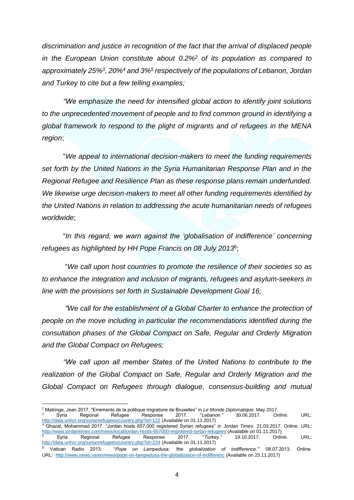*discrimination and justice in recognition of the fact that the arrival of displaced people in the European Union constitute about 0.2%<sup>2</sup> of its population as compared to approximately 25%<sup>3</sup> , 20%<sup>4</sup> and 3%<sup>5</sup> respectively of the populations of Lebanon, Jordan and Turkey to cite but a few telling examples;*

*"We emphasize the need for intensified global action to identify joint solutions to the unprecedented movement of people and to find common ground in identifying a global framework to respond to the plight of migrants and of refugees in the MENA region*;

"*We appeal to international decision-makers to meet the funding requirements set forth by the United Nations in the Syria Humanitarian Response Plan and in the Regional Refugee and Resilience Plan as these response plans remain underfunded. We likewise urge decision-makers to meet all other funding requirements identified by the United Nations in relation to addressing the acute humanitarian needs of refugees worldwide*;

"*In this regard, we warn against the 'globalisation of indifference' concerning refugees as highlighted by HH Pope Francis on 08 July 2013*<sup>6</sup> ;

"*We call upon host countries to promote the resilience of their societies so as to enhance the integration and inclusion of migrants, refugees and asylum-seekers in line with the provisions set forth in Sustainable Development Goal 16;*

*"We call for the establishment of a Global Charter to enhance the protection of people on the move including in particular the recommendations identified during the consultation phases of the Global Compact on Safe, Regular and Orderly Migration and the Global Compact on Refugees;*

*"We call upon all member States of the United Nations to contribute to the realization of the Global Compact on Safe, Regular and Orderly Migration and the Global Compact on Refugees through dialogue, consensus-building and mutual* 

**.** 

<sup>&</sup>lt;sup>2</sup> Matringe, Jean 2017. "Errements de la politique migratoire de Bruxelles" in *Le Monde Diplomatique.* May 2017.<br><sup>3</sup> Syria Regional Refugee Response 2017. "Lebanon." 30.06.2017. Online. <sup>3</sup> Syria Regional Refugee Response 2017. "*Lebanon."* 30.06.2017. Online. URL: <http://data.unhcr.org/syrianrefugees/country.php?id=122> (Available on 01.11.2017) <sup>4</sup> Ghazal, Mohammad 2017. "Jordan hosts 657,000 registered Syrian refugees" in *Jordan Times.* 21.03.2017. Online. URL: <http://www.jordantimes.com/news/local/jordan-hosts-657000-registered-syrian-refugees> (Available on 01.11.2017)<br>
Syria Regional Refugee Response 2017. "Turkey." 19.10.2017. Online.

<sup>5</sup> Syria Regional Refugee Response 2017. "*Turkey."* 19.10.2017. Online. URL: <http://data.unhcr.org/syrianrefugees/country.php?id=224> (Available on 01.11.2017)

<sup>6</sup> Vatican Radio 2013. "*Pope on Lampedusa: 'the globalization of indifference*.'" 08.07.2013. Online. URL:<http://www.news.va/en/news/pope-on-lampedusa-the-globalization-of-indifferenc> (Available on 23.11.2017)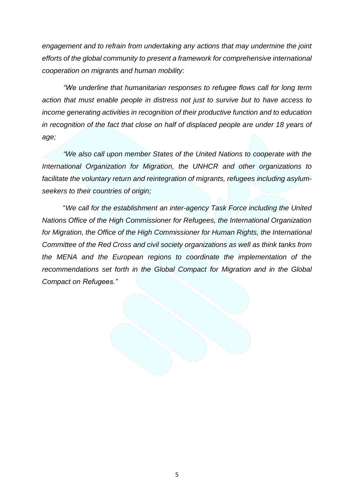*engagement and to refrain from undertaking any actions that may undermine the joint efforts of the global community to present a framework for comprehensive international cooperation on migrants and human mobility:*

*"We underline that humanitarian responses to refugee flows call for long term action that must enable people in distress not just to survive but to have access to income generating activities in recognition of their productive function and to education in recognition of the fact that close on half of displaced people are under 18 years of age;*

*"We also call upon member States of the United Nations to cooperate with the International Organization for Migration, the UNHCR and other organizations to*  facilitate the voluntary return and reintegration of migrants, refugees including asylum*seekers to their countries of origin;*

"*We call for the establishment an inter-agency Task Force including the United Nations Office of the High Commissioner for Refugees, the International Organization for Migration, the Office of the High Commissioner for Human Rights, the International Committee of the Red Cross and civil society organizations as well as think tanks from the MENA and the European regions to coordinate the implementation of the recommendations set forth in the Global Compact for Migration and in the Global Compact on Refugees."*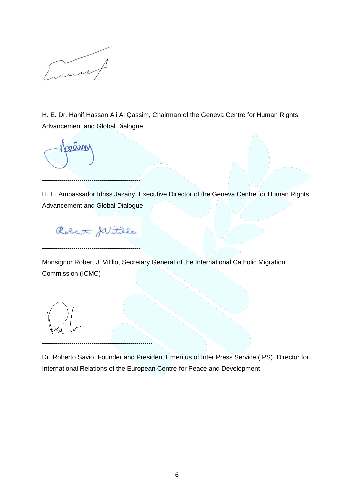

--------------------------------------------------

H. E. Dr. Hanif Hassan Ali Al Qassim, Chairman of the Geneva Centre for Human Rights Advancement and Global Dialogue



H. E. Ambassador Idriss Jazairy, Executive Director of the Geneva Centre for Human Rights Advancement and Global Dialogue

Robert flittle

--------------------------------------------------------

--------------------------------------------------

--------------------------------------------------

Monsignor Robert J. Vitillo, Secretary General of the International Catholic Migration Commission (ICMC)

Dr. Roberto Savio, Founder and President Emeritus of Inter Press Service (IPS). Director for International Relations of the European Centre for Peace and Development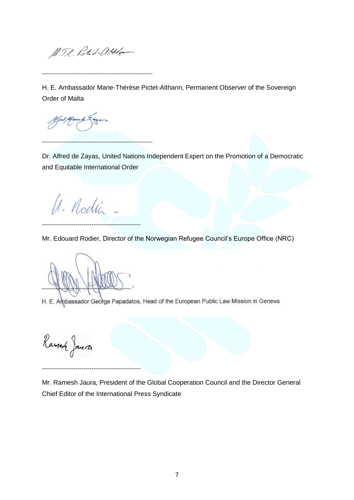M. T.R. Pieted-alter

--------------------------------------------------------

--------------------------------------------------------

H. E. Ambassador Marie-Thérèse Pictet-Althann, Permanent Observer of the Sovereign Order of Malta

Dr. Alfred de Zayas, United Nations Independent Expert on the Promotion of a Democratic and Equitable International Order

U. Nodin

--------------------------------------------------

Mr. Edouard Rodier, Director of the Norwegian Refugee Council's Europe Office (NRC)

--------------------------------------------------

H. E. Ambassador George Papadatos, Head of the European Public Law Mission in Geneva

Ramen Janera

Mr. Ramesh Jaura, President of the Global Cooperation Council and the Director General Chief Editor of the International Press Syndicate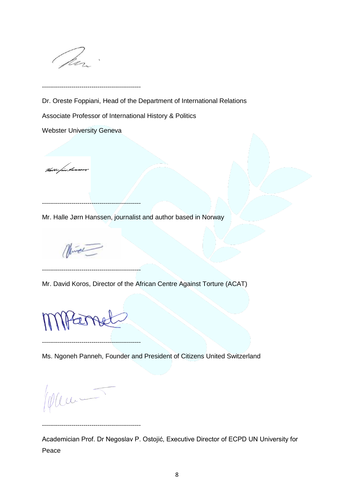

Dr. Oreste Foppiani, Head of the Department of International Relations

Associate Professor of International History & Politics

Webster University Geneva

--------------------------------------------------

<u>Holly four there are </u>

Mr. Halle Jørn Hanssen, journalist and author based in Norway

--------------------------------------------------

--------------------------------------------------

Mr. David Koros, Director of the African Centre Against Torture (ACAT)

--------------------------------------------------

--------------------------------------------------

Ms. Ngoneh Panneh, Founder and President of Citizens United Switzerland

Plen-

Academician Prof. Dr Negoslav P. Ostojić, Executive Director of ECPD UN University for Peace